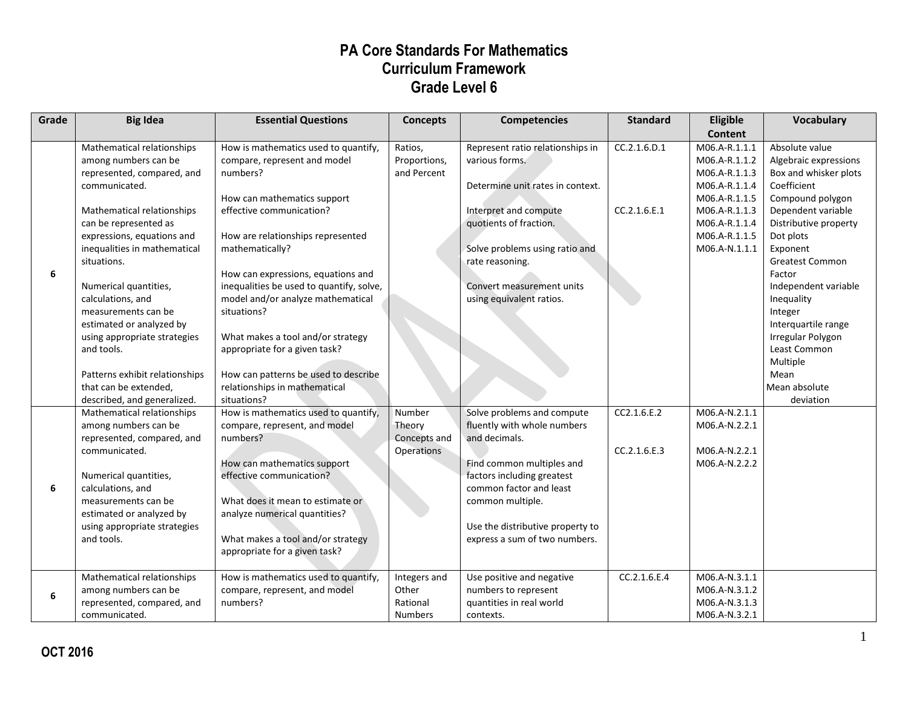| Grade | <b>Big Idea</b>                | <b>Essential Questions</b>               | <b>Concepts</b> | <b>Competencies</b>              | <b>Standard</b> | Eligible       | <b>Vocabulary</b>      |
|-------|--------------------------------|------------------------------------------|-----------------|----------------------------------|-----------------|----------------|------------------------|
|       |                                |                                          |                 |                                  |                 | <b>Content</b> |                        |
|       | Mathematical relationships     | How is mathematics used to quantify,     | Ratios,         | Represent ratio relationships in | CC.2.1.6.D.1    | M06.A-R.1.1.1  | Absolute value         |
|       | among numbers can be           | compare, represent and model             | Proportions,    | various forms.                   |                 | M06.A-R.1.1.2  | Algebraic expressions  |
|       | represented, compared, and     | numbers?                                 | and Percent     |                                  |                 | M06.A-R.1.1.3  | Box and whisker plots  |
|       | communicated.                  |                                          |                 | Determine unit rates in context. |                 | M06.A-R.1.1.4  | Coefficient            |
|       |                                | How can mathematics support              |                 |                                  |                 | M06.A-R.1.1.5  | Compound polygon       |
|       | Mathematical relationships     | effective communication?                 |                 | Interpret and compute            | CC.2.1.6.E.1    | M06.A-R.1.1.3  | Dependent variable     |
|       | can be represented as          |                                          |                 | quotients of fraction.           |                 | M06.A-R.1.1.4  | Distributive property  |
|       | expressions, equations and     | How are relationships represented        |                 |                                  |                 | M06.A-R.1.1.5  | Dot plots              |
|       | inequalities in mathematical   | mathematically?                          |                 | Solve problems using ratio and   |                 | M06.A-N.1.1.1  | Exponent               |
|       | situations.                    |                                          |                 | rate reasoning.                  |                 |                | <b>Greatest Common</b> |
| 6     |                                | How can expressions, equations and       |                 |                                  |                 |                | Factor                 |
|       | Numerical quantities,          | inequalities be used to quantify, solve, |                 | Convert measurement units        |                 |                | Independent variable   |
|       | calculations, and              | model and/or analyze mathematical        |                 | using equivalent ratios.         |                 |                | Inequality             |
|       | measurements can be            | situations?                              |                 |                                  |                 |                | Integer                |
|       | estimated or analyzed by       |                                          |                 |                                  |                 |                | Interquartile range    |
|       | using appropriate strategies   | What makes a tool and/or strategy        |                 |                                  |                 |                | Irregular Polygon      |
|       | and tools.                     | appropriate for a given task?            |                 |                                  |                 |                | Least Common           |
|       |                                |                                          |                 |                                  |                 |                | Multiple               |
|       | Patterns exhibit relationships | How can patterns be used to describe     |                 |                                  |                 |                | Mean                   |
|       | that can be extended,          | relationships in mathematical            |                 |                                  |                 |                | Mean absolute          |
|       | described, and generalized.    | situations?                              |                 |                                  |                 |                | deviation              |
|       | Mathematical relationships     | How is mathematics used to quantify,     | Number          | Solve problems and compute       | CC2.1.6.E.2     | M06.A-N.2.1.1  |                        |
|       | among numbers can be           | compare, represent, and model            | Theory          | fluently with whole numbers      |                 | M06.A-N.2.2.1  |                        |
|       | represented, compared, and     | numbers?                                 | Concepts and    | and decimals.                    |                 |                |                        |
|       | communicated.                  |                                          | Operations      |                                  | CC.2.1.6.E.3    | M06.A-N.2.2.1  |                        |
|       |                                | How can mathematics support              |                 | Find common multiples and        |                 | M06.A-N.2.2.2  |                        |
|       | Numerical quantities,          | effective communication?                 |                 | factors including greatest       |                 |                |                        |
| 6     | calculations, and              |                                          |                 | common factor and least          |                 |                |                        |
|       | measurements can be            | What does it mean to estimate or         |                 | common multiple.                 |                 |                |                        |
|       | estimated or analyzed by       | analyze numerical quantities?            |                 |                                  |                 |                |                        |
|       | using appropriate strategies   |                                          |                 | Use the distributive property to |                 |                |                        |
|       | and tools.                     | What makes a tool and/or strategy        |                 | express a sum of two numbers.    |                 |                |                        |
|       |                                | appropriate for a given task?            |                 |                                  |                 |                |                        |
|       |                                |                                          |                 |                                  |                 |                |                        |
|       | Mathematical relationships     | How is mathematics used to quantify,     | Integers and    | Use positive and negative        | CC.2.1.6.E.4    | M06.A-N.3.1.1  |                        |
| 6     | among numbers can be           | compare, represent, and model            | Other           | numbers to represent             |                 | M06.A-N.3.1.2  |                        |
|       | represented, compared, and     | numbers?                                 | Rational        | quantities in real world         |                 | M06.A-N.3.1.3  |                        |
|       | communicated.                  |                                          | <b>Numbers</b>  | contexts.                        |                 | M06.A-N.3.2.1  |                        |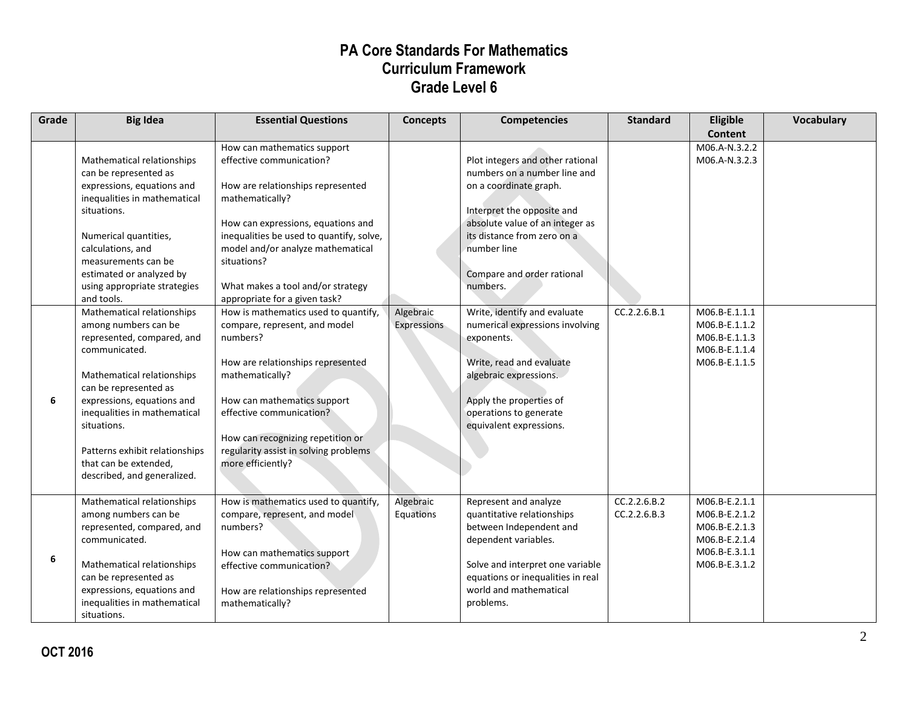| Grade | <b>Big Idea</b>                                                                                                                                                                                                                                                                                                                                                                                                                             | <b>Essential Questions</b>                                                                                                                                                                                                                                                                                                                                                                                                                                               | <b>Concepts</b>          | <b>Competencies</b>                                                                                                                                                                                                                                                                                                                                                                        | <b>Standard</b>              | Eligible<br>Content                                                                                                 | <b>Vocabulary</b> |
|-------|---------------------------------------------------------------------------------------------------------------------------------------------------------------------------------------------------------------------------------------------------------------------------------------------------------------------------------------------------------------------------------------------------------------------------------------------|--------------------------------------------------------------------------------------------------------------------------------------------------------------------------------------------------------------------------------------------------------------------------------------------------------------------------------------------------------------------------------------------------------------------------------------------------------------------------|--------------------------|--------------------------------------------------------------------------------------------------------------------------------------------------------------------------------------------------------------------------------------------------------------------------------------------------------------------------------------------------------------------------------------------|------------------------------|---------------------------------------------------------------------------------------------------------------------|-------------------|
|       | Mathematical relationships<br>can be represented as<br>expressions, equations and<br>inequalities in mathematical<br>situations.<br>Numerical quantities,<br>calculations, and<br>measurements can be<br>estimated or analyzed by<br>using appropriate strategies<br>and tools.<br>Mathematical relationships<br>among numbers can be<br>represented, compared, and<br>communicated.<br>Mathematical relationships<br>can be represented as | How can mathematics support<br>effective communication?<br>How are relationships represented<br>mathematically?<br>How can expressions, equations and<br>inequalities be used to quantify, solve,<br>model and/or analyze mathematical<br>situations?<br>What makes a tool and/or strategy<br>appropriate for a given task?<br>How is mathematics used to quantify,<br>compare, represent, and model<br>numbers?<br>How are relationships represented<br>mathematically? | Algebraic<br>Expressions | Plot integers and other rational<br>numbers on a number line and<br>on a coordinate graph.<br>Interpret the opposite and<br>absolute value of an integer as<br>its distance from zero on a<br>number line<br>Compare and order rational<br>numbers.<br>Write, identify and evaluate<br>numerical expressions involving<br>exponents.<br>Write, read and evaluate<br>algebraic expressions. | CC.2.2.6.B.1                 | M06.A-N.3.2.2<br>M06.A-N.3.2.3<br>M06.B-E.1.1.1<br>M06.B-E.1.1.2<br>M06.B-E.1.1.3<br>M06.B-E.1.1.4<br>M06.B-E.1.1.5 |                   |
| 6     | expressions, equations and<br>inequalities in mathematical<br>situations.<br>Patterns exhibit relationships<br>that can be extended,<br>described, and generalized.                                                                                                                                                                                                                                                                         | How can mathematics support<br>effective communication?<br>How can recognizing repetition or<br>regularity assist in solving problems<br>more efficiently?                                                                                                                                                                                                                                                                                                               |                          | Apply the properties of<br>operations to generate<br>equivalent expressions.                                                                                                                                                                                                                                                                                                               |                              |                                                                                                                     |                   |
| 6     | Mathematical relationships<br>among numbers can be<br>represented, compared, and<br>communicated.<br>Mathematical relationships<br>can be represented as<br>expressions, equations and<br>inequalities in mathematical<br>situations.                                                                                                                                                                                                       | How is mathematics used to quantify,<br>compare, represent, and model<br>numbers?<br>How can mathematics support<br>effective communication?<br>How are relationships represented<br>mathematically?                                                                                                                                                                                                                                                                     | Algebraic<br>Equations   | Represent and analyze<br>quantitative relationships<br>between Independent and<br>dependent variables.<br>Solve and interpret one variable<br>equations or inequalities in real<br>world and mathematical<br>problems.                                                                                                                                                                     | CC.2.2.6.B.2<br>CC.2.2.6.B.3 | M06.B-E.2.1.1<br>M06.B-E.2.1.2<br>M06.B-E.2.1.3<br>M06.B-E.2.1.4<br>M06.B-E.3.1.1<br>M06.B-E.3.1.2                  |                   |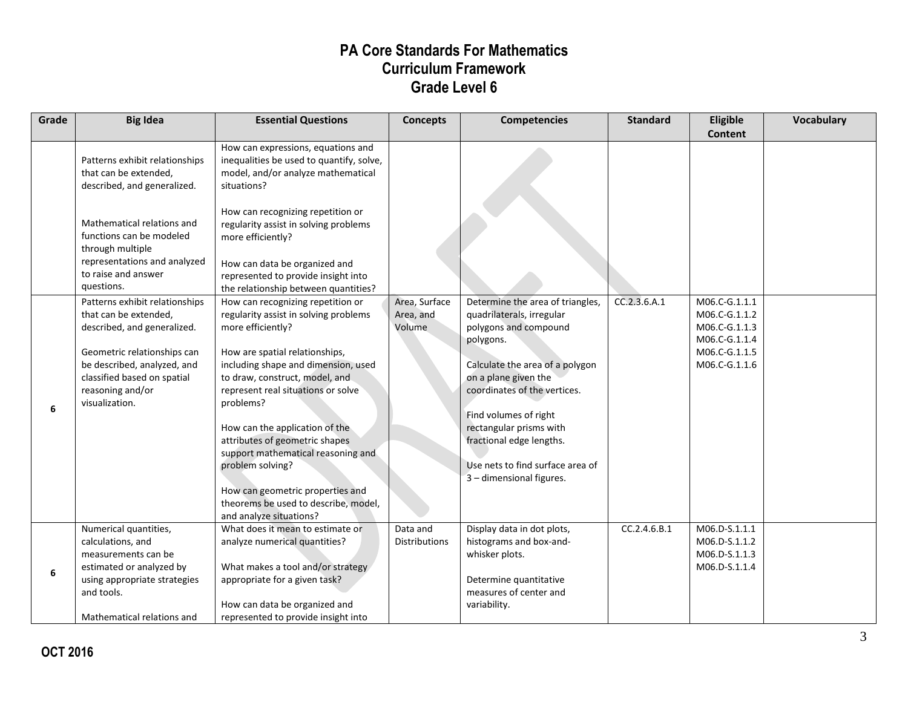| Grade | <b>Big Idea</b>                                                                                                                                                                                                                           | <b>Essential Questions</b>                                                                                                                                                                                                                                                                                                                                                                                                                                                                                                                 | <b>Concepts</b>                      | <b>Competencies</b>                                                                                                                                                                                                                                                                                                                            | <b>Standard</b> | Eligible<br><b>Content</b>                                                                         | <b>Vocabulary</b> |
|-------|-------------------------------------------------------------------------------------------------------------------------------------------------------------------------------------------------------------------------------------------|--------------------------------------------------------------------------------------------------------------------------------------------------------------------------------------------------------------------------------------------------------------------------------------------------------------------------------------------------------------------------------------------------------------------------------------------------------------------------------------------------------------------------------------------|--------------------------------------|------------------------------------------------------------------------------------------------------------------------------------------------------------------------------------------------------------------------------------------------------------------------------------------------------------------------------------------------|-----------------|----------------------------------------------------------------------------------------------------|-------------------|
|       | Patterns exhibit relationships<br>that can be extended,<br>described, and generalized.<br>Mathematical relations and<br>functions can be modeled<br>through multiple<br>representations and analyzed<br>to raise and answer<br>questions. | How can expressions, equations and<br>inequalities be used to quantify, solve,<br>model, and/or analyze mathematical<br>situations?<br>How can recognizing repetition or<br>regularity assist in solving problems<br>more efficiently?<br>How can data be organized and<br>represented to provide insight into                                                                                                                                                                                                                             |                                      |                                                                                                                                                                                                                                                                                                                                                |                 |                                                                                                    |                   |
| 6     | Patterns exhibit relationships<br>that can be extended,<br>described, and generalized.<br>Geometric relationships can<br>be described, analyzed, and<br>classified based on spatial<br>reasoning and/or<br>visualization.                 | the relationship between quantities?<br>How can recognizing repetition or<br>regularity assist in solving problems<br>more efficiently?<br>How are spatial relationships,<br>including shape and dimension, used<br>to draw, construct, model, and<br>represent real situations or solve<br>problems?<br>How can the application of the<br>attributes of geometric shapes<br>support mathematical reasoning and<br>problem solving?<br>How can geometric properties and<br>theorems be used to describe, model,<br>and analyze situations? | Area, Surface<br>Area, and<br>Volume | Determine the area of triangles,<br>quadrilaterals, irregular<br>polygons and compound<br>polygons.<br>Calculate the area of a polygon<br>on a plane given the<br>coordinates of the vertices.<br>Find volumes of right<br>rectangular prisms with<br>fractional edge lengths.<br>Use nets to find surface area of<br>3 - dimensional figures. | CC.2.3.6.A.1    | M06.C-G.1.1.1<br>M06.C-G.1.1.2<br>M06.C-G.1.1.3<br>M06.C-G.1.1.4<br>M06.C-G.1.1.5<br>M06.C-G.1.1.6 |                   |
| 6     | Numerical quantities,<br>calculations, and<br>measurements can be<br>estimated or analyzed by<br>using appropriate strategies<br>and tools.<br>Mathematical relations and                                                                 | What does it mean to estimate or<br>analyze numerical quantities?<br>What makes a tool and/or strategy<br>appropriate for a given task?<br>How can data be organized and<br>represented to provide insight into                                                                                                                                                                                                                                                                                                                            | Data and<br><b>Distributions</b>     | Display data in dot plots,<br>histograms and box-and-<br>whisker plots.<br>Determine quantitative<br>measures of center and<br>variability.                                                                                                                                                                                                    | CC.2.4.6.B.1    | M06.D-S.1.1.1<br>M06.D-S.1.1.2<br>M06.D-S.1.1.3<br>M06.D-S.1.1.4                                   |                   |